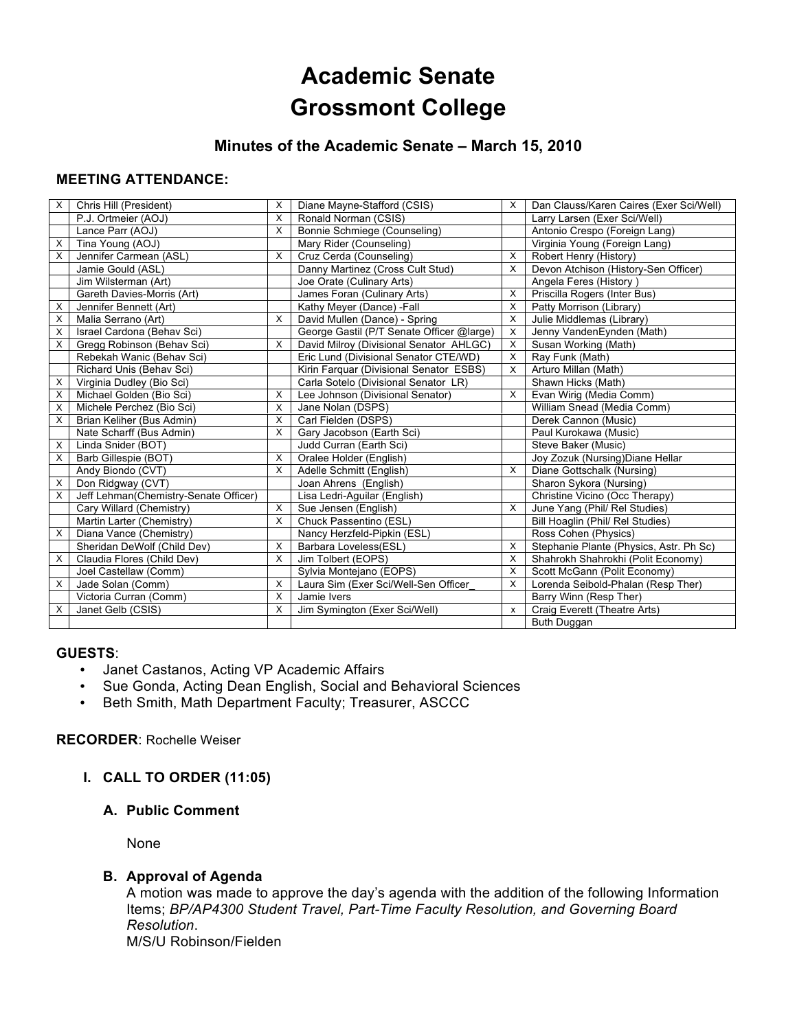# **Academic Senate Grossmont College**

## **Minutes of the Academic Senate – March 15, 2010**

## **MEETING ATTENDANCE:**

| X | Chris Hill (President)                | X        | Diane Mayne-Stafford (CSIS)               | X              | Dan Clauss/Karen Caires (Exer Sci/Well) |
|---|---------------------------------------|----------|-------------------------------------------|----------------|-----------------------------------------|
|   | P.J. Ortmeier (AOJ)                   | X        | Ronald Norman (CSIS)                      |                | Larry Larsen (Exer Sci/Well)            |
|   | Lance Parr (AOJ)                      | $\times$ | Bonnie Schmiege (Counseling)              |                | Antonio Crespo (Foreign Lang)           |
| х | Tina Young (AOJ)                      |          | Mary Rider (Counseling)                   |                | Virginia Young (Foreign Lang)           |
| X | Jennifer Carmean (ASL)                | $\times$ | Cruz Cerda (Counseling)                   | X              | Robert Henry (History)                  |
|   | Jamie Gould (ASL)                     |          | Danny Martinez (Cross Cult Stud)          | X              | Devon Atchison (History-Sen Officer)    |
|   | Jim Wilsterman (Art)                  |          | Joe Orate (Culinary Arts)                 |                | Angela Feres (History)                  |
|   | Gareth Davies-Morris (Art)            |          | James Foran (Culinary Arts)               | X              | Priscilla Rogers (Inter Bus)            |
| X | Jennifer Bennett (Art)                |          | Kathy Meyer (Dance) -Fall                 | X              | Patty Morrison (Library)                |
| X | Malia Serrano (Art)                   | X        | David Mullen (Dance) - Spring             | X              | Julie Middlemas (Library)               |
| X | Israel Cardona (Behav Sci)            |          | George Gastil (P/T Senate Officer @large) | X              | Jenny VandenEynden (Math)               |
| X | Gregg Robinson (Behav Sci)            | $\times$ | David Milroy (Divisional Senator AHLGC)   | X              | Susan Working (Math)                    |
|   | Rebekah Wanic (Behav Sci)             |          | Eric Lund (Divisional Senator CTE/WD)     | х              | Ray Funk (Math)                         |
|   | Richard Unis (Behav Sci)              |          | Kirin Farquar (Divisional Senator ESBS)   | X              | Arturo Millan (Math)                    |
| X | Virginia Dudley (Bio Sci)             |          | Carla Sotelo (Divisional Senator LR)      |                | Shawn Hicks (Math)                      |
| Χ | Michael Golden (Bio Sci)              | X        | Lee Johnson (Divisional Senator)          | X              | Evan Wirig (Media Comm)                 |
| X | Michele Perchez (Bio Sci)             | X        | Jane Nolan (DSPS)                         |                | William Snead (Media Comm)              |
| X | Brian Keliher (Bus Admin)             | $\times$ | Carl Fielden (DSPS)                       |                | Derek Cannon (Music)                    |
|   | Nate Scharff (Bus Admin)              | X        | Gary Jacobson (Earth Sci)                 |                | Paul Kurokawa (Music)                   |
| X | Linda Snider (BOT)                    |          | Judd Curran (Earth Sci)                   |                | Steve Baker (Music)                     |
| X | Barb Gillespie (BOT)                  | X        | Oralee Holder (English)                   |                | Joy Zozuk (Nursing) Diane Hellar        |
|   | Andy Biondo (CVT)                     | $\times$ | Adelle Schmitt (English)                  | X              | Diane Gottschalk (Nursing)              |
| X | Don Ridgway (CVT)                     |          | Joan Ahrens (English)                     |                | Sharon Sykora (Nursing)                 |
| X | Jeff Lehman(Chemistry-Senate Officer) |          | Lisa Ledri-Aguilar (English)              |                | Christine Vicino (Occ Therapy)          |
|   | Cary Willard (Chemistry)              | X        | Sue Jensen (English)                      | х              | June Yang (Phil/ Rel Studies)           |
|   | Martin Larter (Chemistry)             | $\times$ | Chuck Passentino (ESL)                    |                | <b>Bill Hoaglin (Phil/ Rel Studies)</b> |
| X | Diana Vance (Chemistry)               |          | Nancy Herzfeld-Pipkin (ESL)               |                | Ross Cohen (Physics)                    |
|   | Sheridan DeWolf (Child Dev)           | X        | Barbara Loveless(ESL)                     | X              | Stephanie Plante (Physics, Astr. Ph Sc) |
| X | Claudia Flores (Child Dev)            | X        | Jim Tolbert (EOPS)                        | X              | Shahrokh Shahrokhi (Polit Economy)      |
|   | Joel Castellaw (Comm)                 |          | Sylvia Montejano (EOPS)                   | X              | Scott McGann (Polit Economy)            |
| X | Jade Solan (Comm)                     | $\times$ | Laura Sim (Exer Sci/Well-Sen Officer      | X              | Lorenda Seibold-Phalan (Resp Ther)      |
|   | Victoria Curran (Comm)                | X        | Jamie Ivers                               |                | Barry Winn (Resp Ther)                  |
| X | Janet Gelb (CSIS)                     | X        | Jim Symington (Exer Sci/Well)             | $\pmb{\times}$ | Craig Everett (Theatre Arts)            |
|   |                                       |          |                                           |                | Buth Duggan                             |

#### **GUESTS**:

- Janet Castanos, Acting VP Academic Affairs
- Sue Gonda, Acting Dean English, Social and Behavioral Sciences
- Beth Smith, Math Department Faculty; Treasurer, ASCCC

#### **RECORDER**: Rochelle Weiser

#### **I. CALL TO ORDER (11:05)**

## **A. Public Comment**

None

#### **B. Approval of Agenda**

A motion was made to approve the day's agenda with the addition of the following Information Items; *BP/AP4300 Student Travel, Part-Time Faculty Resolution, and Governing Board Resolution*. M/S/U Robinson/Fielden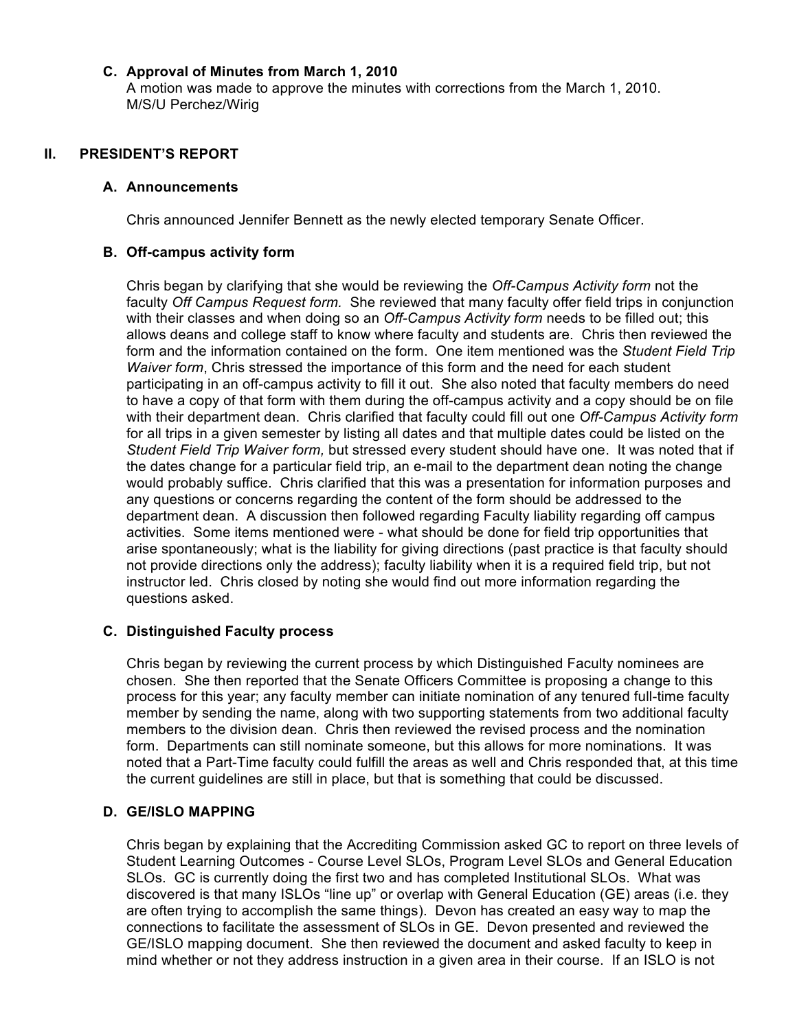## **C. Approval of Minutes from March 1, 2010**

A motion was made to approve the minutes with corrections from the March 1, 2010. M/S/U Perchez/Wirig

## **II. PRESIDENT'S REPORT**

#### **A. Announcements**

Chris announced Jennifer Bennett as the newly elected temporary Senate Officer.

#### **B. Off-campus activity form**

Chris began by clarifying that she would be reviewing the *Off-Campus Activity form* not the faculty *Off Campus Request form.* She reviewed that many faculty offer field trips in conjunction with their classes and when doing so an *Off-Campus Activity form* needs to be filled out; this allows deans and college staff to know where faculty and students are. Chris then reviewed the form and the information contained on the form. One item mentioned was the *Student Field Trip Waiver form*, Chris stressed the importance of this form and the need for each student participating in an off-campus activity to fill it out. She also noted that faculty members do need to have a copy of that form with them during the off-campus activity and a copy should be on file with their department dean. Chris clarified that faculty could fill out one *Off-Campus Activity form* for all trips in a given semester by listing all dates and that multiple dates could be listed on the *Student Field Trip Waiver form,* but stressed every student should have one. It was noted that if the dates change for a particular field trip, an e-mail to the department dean noting the change would probably suffice. Chris clarified that this was a presentation for information purposes and any questions or concerns regarding the content of the form should be addressed to the department dean. A discussion then followed regarding Faculty liability regarding off campus activities. Some items mentioned were - what should be done for field trip opportunities that arise spontaneously; what is the liability for giving directions (past practice is that faculty should not provide directions only the address); faculty liability when it is a required field trip, but not instructor led. Chris closed by noting she would find out more information regarding the questions asked.

## **C. Distinguished Faculty process**

Chris began by reviewing the current process by which Distinguished Faculty nominees are chosen. She then reported that the Senate Officers Committee is proposing a change to this process for this year; any faculty member can initiate nomination of any tenured full-time faculty member by sending the name, along with two supporting statements from two additional faculty members to the division dean. Chris then reviewed the revised process and the nomination form. Departments can still nominate someone, but this allows for more nominations. It was noted that a Part-Time faculty could fulfill the areas as well and Chris responded that, at this time the current guidelines are still in place, but that is something that could be discussed.

## **D. GE/ISLO MAPPING**

Chris began by explaining that the Accrediting Commission asked GC to report on three levels of Student Learning Outcomes - Course Level SLOs, Program Level SLOs and General Education SLOs. GC is currently doing the first two and has completed Institutional SLOs. What was discovered is that many ISLOs "line up" or overlap with General Education (GE) areas (i.e. they are often trying to accomplish the same things). Devon has created an easy way to map the connections to facilitate the assessment of SLOs in GE. Devon presented and reviewed the GE/ISLO mapping document. She then reviewed the document and asked faculty to keep in mind whether or not they address instruction in a given area in their course. If an ISLO is not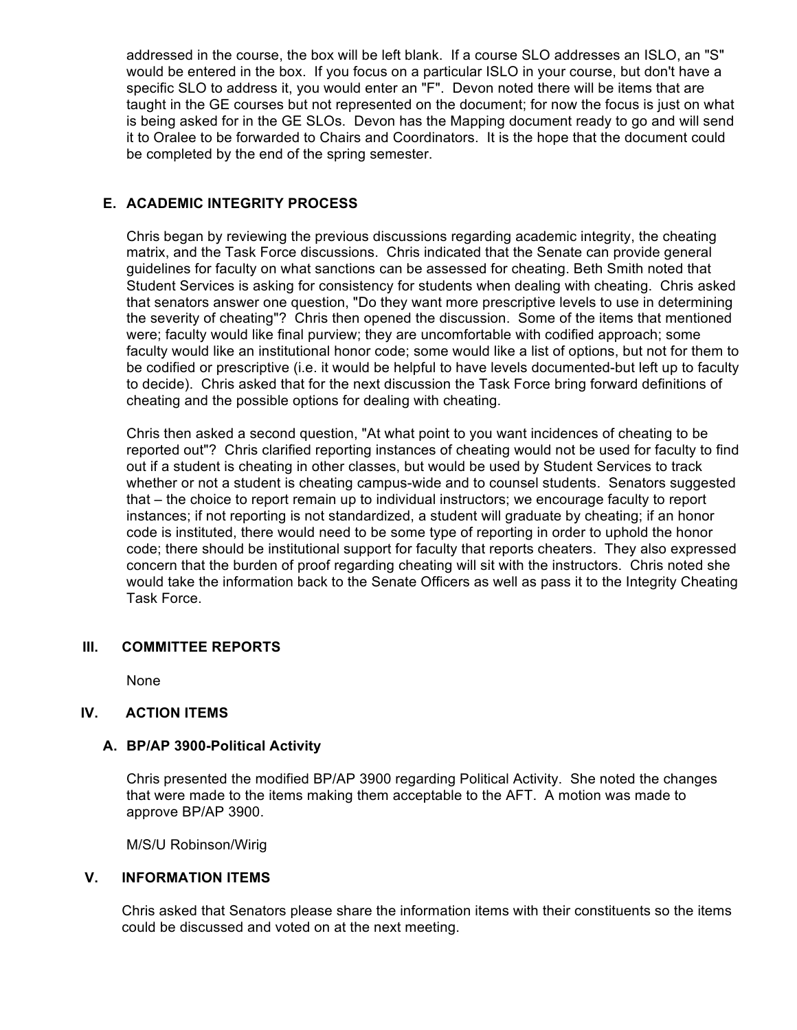addressed in the course, the box will be left blank. If a course SLO addresses an ISLO, an "S" would be entered in the box. If you focus on a particular ISLO in your course, but don't have a specific SLO to address it, you would enter an "F". Devon noted there will be items that are taught in the GE courses but not represented on the document; for now the focus is just on what is being asked for in the GE SLOs. Devon has the Mapping document ready to go and will send it to Oralee to be forwarded to Chairs and Coordinators. It is the hope that the document could be completed by the end of the spring semester.

## **E. ACADEMIC INTEGRITY PROCESS**

Chris began by reviewing the previous discussions regarding academic integrity, the cheating matrix, and the Task Force discussions. Chris indicated that the Senate can provide general guidelines for faculty on what sanctions can be assessed for cheating. Beth Smith noted that Student Services is asking for consistency for students when dealing with cheating. Chris asked that senators answer one question, "Do they want more prescriptive levels to use in determining the severity of cheating"? Chris then opened the discussion. Some of the items that mentioned were; faculty would like final purview; they are uncomfortable with codified approach; some faculty would like an institutional honor code; some would like a list of options, but not for them to be codified or prescriptive (i.e. it would be helpful to have levels documented-but left up to faculty to decide). Chris asked that for the next discussion the Task Force bring forward definitions of cheating and the possible options for dealing with cheating.

Chris then asked a second question, "At what point to you want incidences of cheating to be reported out"? Chris clarified reporting instances of cheating would not be used for faculty to find out if a student is cheating in other classes, but would be used by Student Services to track whether or not a student is cheating campus-wide and to counsel students. Senators suggested that – the choice to report remain up to individual instructors; we encourage faculty to report instances; if not reporting is not standardized, a student will graduate by cheating; if an honor code is instituted, there would need to be some type of reporting in order to uphold the honor code; there should be institutional support for faculty that reports cheaters. They also expressed concern that the burden of proof regarding cheating will sit with the instructors. Chris noted she would take the information back to the Senate Officers as well as pass it to the Integrity Cheating Task Force.

## **III. COMMITTEE REPORTS**

None

## **IV. ACTION ITEMS**

#### **A. BP/AP 3900-Political Activity**

Chris presented the modified BP/AP 3900 regarding Political Activity. She noted the changes that were made to the items making them acceptable to the AFT. A motion was made to approve BP/AP 3900.

M/S/U Robinson/Wirig

#### **V. INFORMATION ITEMS**

Chris asked that Senators please share the information items with their constituents so the items could be discussed and voted on at the next meeting.